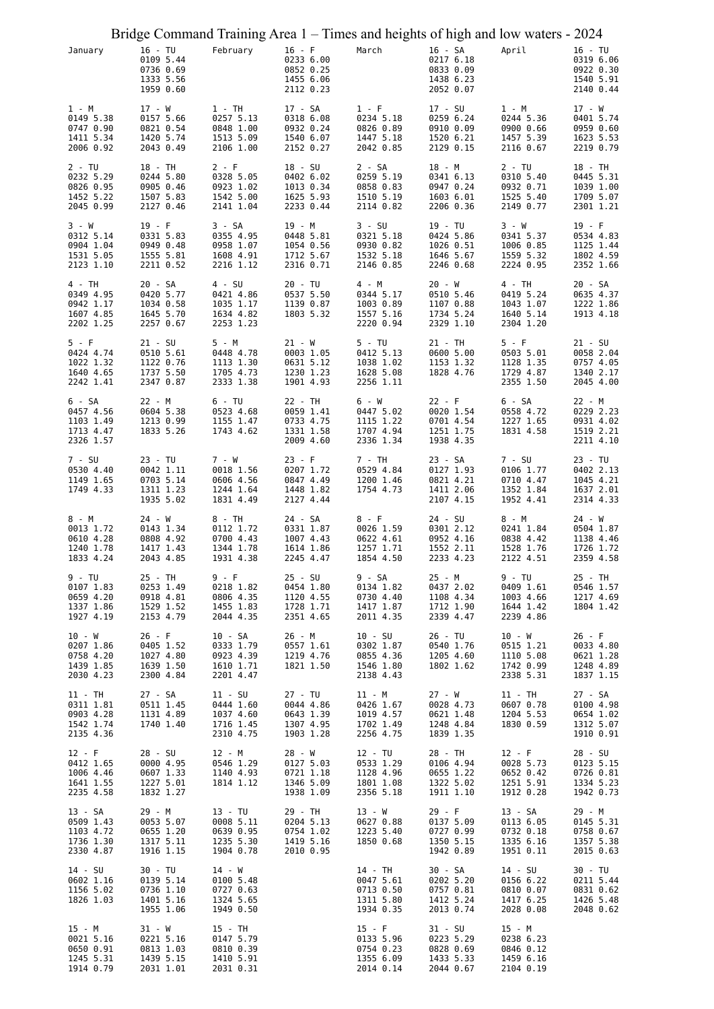|                                                              |                                                               |                                                              |                                                              | Bridge Command Training Area 1 – Times and heights of high and low waters - 2024 |                                                              |                                                              |                                                               |
|--------------------------------------------------------------|---------------------------------------------------------------|--------------------------------------------------------------|--------------------------------------------------------------|----------------------------------------------------------------------------------|--------------------------------------------------------------|--------------------------------------------------------------|---------------------------------------------------------------|
| January                                                      | $16 - TU$<br>0109 5.44<br>0736 0.69<br>1333 5.56<br>1959 0.60 | February                                                     | $16 - F$<br>0233 6.00<br>0852 0.25<br>1455 6.06<br>2112 0.23 | March                                                                            | 16 - SA<br>0217 6.18<br>0833 0.09<br>1438 6.23<br>2052 0.07  | April                                                        | $16 - TU$<br>0319 6.06<br>0922 0.30<br>1540 5.91<br>2140 0.44 |
| 1 - M<br>0149 5.38<br>0747 0.90<br>1411 5.34<br>2006 0.92    | 17 - W<br>0157 5.66<br>0821 0.54<br>1420 5.74<br>2043 0.49    | 1 - TH<br>0257 5.13<br>0848 1.00<br>1513 5.09<br>2106 1.00   | 17 - SA<br>0318 6.08<br>0932 0.24<br>1540 6.07<br>2152 0.27  | $1 - F$<br>0234 5.18<br>0826 0.89<br>1447 5.18<br>2042 0.85                      | 17 - SU<br>0259 6.24<br>0910 0.09<br>1520 6.21<br>2129 0.15  | 1 - M<br>0244 5.36<br>0900 0.66<br>1457 5.39<br>2116 0.67    | $17 - W$<br>0401 5.74<br>0959 0.60<br>1623 5.53<br>2219 0.79  |
| 2 - TU<br>0232 5.29<br>0826 0.95<br>1452 5.22<br>2045 0.99   | 18 - TH<br>0244 5.80<br>0905 0.46<br>1507 5.83<br>2127 0.46   | 2 - F<br>0328 5.05<br>0923 1.02<br>1542 5.00<br>2141 1.04    | 18 - SU<br>0402 6.02<br>1013 0.34<br>1625 5.93<br>2233 0.44  | 2 - SA<br>0259 5.19<br>0858 0.83<br>1510 5.19<br>2114 0.82                       | 18 - M<br>0341 6.13<br>0947 0.24<br>1603 6.01<br>2206 0.36   | $2 - TU$<br>0310 5.40<br>0932 0.71<br>1525 5.40<br>2149 0.77 | 18 - TH<br>0445 5.31<br>1039 1.00<br>1709 5.07<br>2301 1.21   |
| 3 - W<br>0312 5.14<br>0904 1.04<br>1531 5.05<br>2123 1.10    | $19 - F$<br>0331 5.83<br>0949 0.48<br>1555 5.81<br>2211 0.52  | 3 - SA<br>0355 4.95<br>0958 1.07<br>1608 4.91<br>2216 1.12   | 19 - M<br>0448 5.81<br>1054 0.56<br>1712 5.67<br>2316 0.71   | $3 - SU$<br>0321 5.18<br>0930 0.82<br>1532 5.18<br>2146 0.85                     | 19 - TU<br>0424 5.86<br>1026 0.51<br>1646 5.67<br>2246 0.68  | 3 - W<br>0341 5.37<br>1006 0.85<br>1559 5.32<br>2224 0.95    | $19 - F$<br>0534 4.83<br>1125 1.44<br>1802 4.59<br>2352 1.66  |
| 4 - TH<br>0349 4.95<br>0942 1.17<br>1607 4.85<br>2202 1.25   | 20 - SA<br>0420 5.77<br>1034 0.58<br>1645 5.70<br>2257 0.67   | $4 - SU$<br>0421 4.86<br>1035 1.17<br>1634 4.82<br>2253 1.23 | 20 - TU<br>0537 5.50<br>1139 0.87<br>1803 5.32               | 4 - M<br>0344 5.17<br>1003 0.89<br>1557 5.16<br>2220 0.94                        | 20 - W<br>0510 5.46<br>1107 0.88<br>1734 5.24<br>2329 1.10   | 4 - TH<br>0419 5.24<br>1043 1.07<br>1640 5.14<br>2304 1.20   | 20 - SA<br>0635 4.37<br>1222 1.86<br>1913 4.18                |
| $5 - F$<br>0424 4.74<br>1022 1.32<br>1640 4.65<br>2242 1.41  | $21 - SU$<br>0510 5.61<br>1122 0.76<br>1737 5.50<br>2347 0.87 | 5 - M<br>0448 4.78<br>1113 1.30<br>1705 4.73<br>2333 1.38    | $21 - W$<br>0003 1.05<br>0631 5.12<br>1230 1.23<br>1901 4.93 | $5 - TU$<br>0412 5.13<br>1038 1.02<br>1628 5.08<br>2256 1.11                     | 21 - TH<br>0600 5.00<br>1153 1.32<br>1828 4.76               | $5 - F$<br>0503 5.01<br>1128 1.35<br>1729 4.87<br>2355 1.50  | $21 - SU$<br>0058 2.04<br>0757 4.05<br>1340 2.17<br>2045 4.00 |
| 6 - SA<br>0457 4.56<br>1103 1.49<br>1713 4.47<br>2326 1.57   | 22 - M<br>0604 5.38<br>1213 0.99<br>1833 5.26                 | 6 - TU<br>0523 4.68<br>1155 1.47<br>1743 4.62                | 22 - TH<br>0059 1.41<br>0733 4.75<br>1331 1.58<br>2009 4.60  | 6 - W<br>0447 5.02<br>1115 1.22<br>1707 4.94<br>2336 1.34                        | $22 - F$<br>0020 1.54<br>0701 4.54<br>1251 1.75<br>1938 4.35 | 6 - SA<br>0558 4.72<br>1227 1.65<br>1831 4.58                | 22 - M<br>0229 2.23<br>0931 4.02<br>1519 2.21<br>2211 4.10    |
| 7 - SU<br>0530 4.40<br>1149 1.65<br>1749 4.33                | $23 - TU$<br>0042 1.11<br>0703 5.14<br>1311 1.23<br>1935 5.02 | 7 - W<br>0018 1.56<br>0606 4.56<br>1244 1.64<br>1831 4.49    | $23 - F$<br>0207 1.72<br>0847 4.49<br>1448 1.82<br>2127 4.44 | 7 - TH<br>0529 4.84<br>1200 1.46<br>1754 4.73                                    | 23 - SA<br>0127 1.93<br>0821 4.21<br>1411 2.06<br>2107 4.15  | 7 - SU<br>0106 1.77<br>0710 4.47<br>1352 1.84<br>1952 4.41   | 23 - TU<br>0402 2.13<br>1045 4.21<br>1637 2.01<br>2314 4.33   |
| 8 - M<br>0013 1.72<br>0610 4.28<br>1240 1.78<br>1833 4.24    | 24 - W<br>0143 1.34<br>0808 4.92<br>1417 1.43<br>2043 4.85    | 8 - TH<br>0112 1.72<br>0700 4.43<br>1344 1.78<br>1931 4.38   | 24 - SA<br>0331 1.87<br>1007 4.43<br>1614 1.86<br>2245 4.47  | 8 - F<br>0026 1.59<br>0622 4.61<br>1257 1.71<br>1854 4.50                        | 24 - SU<br>0301 2.12<br>0952 4.16<br>1552 2.11<br>2233 4.23  | 8 - M<br>0241 1.84<br>0838 4.42<br>1528 1.76<br>2122 4.51    | $24 - W$<br>0504 1.87<br>1138 4.46<br>1726 1.72<br>2359 4.58  |
| 9 - TU<br>0107 1.83<br>0659 4.20<br>1337 1.86<br>1927 4.19   | 25 - TH<br>0253 1.49<br>0918 4.81<br>1529 1.52<br>2153 4.79   | 9 - F<br>0218 1.82<br>0806 4.35<br>1455 1.83<br>2044 4.35    | 25 - SU<br>0454 1.80<br>1120 4.55<br>1728 1.71<br>2351 4.65  | 9 - SA<br>0134 1.82<br>0730 4.40<br>1417 1.87<br>2011 4.35                       | 25 - M<br>0437 2.02<br>1108 4.34<br>1712 1.90<br>2339 4.47   | 9 - TU<br>0409 1.61<br>1003 4.66<br>1644 1.42<br>2239 4.86   | 25 - TH<br>0546 1.57<br>1217 4.69<br>1804 1.42                |
| $10 - W$<br>0207 1.86<br>0758 4.20<br>1439 1.85<br>2030 4.23 | $26 - F$<br>0405 1.52<br>1027 4.80<br>1639 1.50<br>2300 4.84  | 10 - SA<br>0333 1.79<br>0923 4.39<br>1610 1.71<br>2201 4.47  | 26 - M<br>0557 1.61<br>1219 4.76<br>1821 1.50                | $10 - SU$<br>0302 1.87<br>0855 4.36<br>1546 1.80<br>2138 4.43                    | 26 - TU<br>0540 1.76<br>1205 4.60<br>1802 1.62               | 10 - W<br>0515 1.21<br>1110 5.08<br>1742 0.99<br>2338 5.31   | 26 - F<br>0033 4.80<br>0621 1.28<br>1248 4.89<br>1837 1.15    |
| 11 - TH<br>0311 1.81<br>0903 4.28<br>1542 1.74<br>2135 4.36  | 27 - SA<br>0511 1.45<br>1131 4.89<br>1740 1.40                | 11 - SU<br>0444 1.60<br>1037 4.60<br>1716 1.45<br>2310 4.75  | 27 - TU<br>0044 4.86<br>0643 1.39<br>1307 4.95<br>1903 1.28  | 11 - M<br>0426 1.67<br>1019 4.57<br>1702 1.49<br>2256 4.75                       | 27 - W<br>0028 4.73<br>0621 1.48<br>1248 4.84<br>1839 1.35   | 11 - TH<br>0607 0.78<br>1204 5.53<br>1830 0.59               | 27 - SA<br>0100 4.98<br>0654 1.02<br>1312 5.07<br>1910 0.91   |
| $12 - F$<br>0412 1.65<br>1006 4.46<br>1641 1.55<br>2235 4.58 | 28 - SU<br>0000 4.95<br>0607 1.33<br>1227 5.01<br>1832 1.27   | 12 - M<br>0546 1.29<br>1140 4.93<br>1814 1.12                | 28 - W<br>0127 5.03<br>0721 1.18<br>1346 5.09<br>1938 1.09   | 12 - TU<br>0533 1.29<br>1128 4.96<br>1801 1.08<br>2356 5.18                      | 28 - TH<br>0106 4.94<br>0655 1.22<br>1322 5.02<br>1911 1.10  | $12 - F$<br>0028 5.73<br>0652 0.42<br>1251 5.91<br>1912 0.28 | 28 - SU<br>0123 5.15<br>0726 0.81<br>1334 5.23<br>1942 0.73   |
| 13 - SA<br>0509 1.43<br>1103 4.72<br>1736 1.30<br>2330 4.87  | 29 - M<br>0053 5.07<br>0655 1.20<br>1317 5.11<br>1916 1.15    | 13 - TU<br>0008 5.11<br>0639 0.95<br>1235 5.30<br>1904 0.78  | 29 - TH<br>0204 5.13<br>0754 1.02<br>1419 5.16<br>2010 0.95  | 13 - W<br>0627 0.88<br>1223 5.40<br>1850 0.68                                    | $29 - F$<br>0137 5.09<br>0727 0.99<br>1350 5.15<br>1942 0.89 | 13 - SA<br>0113 6.05<br>0732 0.18<br>1335 6.16<br>1951 0.11  | 29 - M<br>0145 5.31<br>0758 0.67<br>1357 5.38<br>2015 0.63    |
| 14 - SU<br>0602 1.16<br>1156 5.02<br>1826 1.03               | 30 - TU<br>0139 5.14<br>0736 1.10<br>1401 5.16<br>1955 1.06   | $14 - W$<br>0100 5.48<br>0727 0.63<br>1324 5.65<br>1949 0.50 |                                                              | 14 - TH<br>0047 5.61<br>0713 0.50<br>1311 5.80<br>1934 0.35                      | 30 - SA<br>0202 5.20<br>0757 0.81<br>1412 5.24<br>2013 0.74  | 14 - SU<br>0156 6.22<br>0810 0.07<br>1417 6.25<br>2028 0.08  | 30 - TU<br>0211 5.44<br>0831 0.62<br>1426 5.48<br>2048 0.62   |
| 15 - M<br>0021 5.16<br>0650 0.91<br>1245 5.31<br>1914 0.79   | 31 - W<br>0221 5.16<br>0813 1.03<br>1439 5.15<br>2031 1.01    | 15 - TH<br>0147 5.79<br>0810 0.39<br>1410 5.91<br>2031 0.31  |                                                              | $15 - F$<br>0133 5.96<br>0754 0.23<br>1355 6.09<br>2014 0.14                     | 31 - SU<br>0223 5.29<br>0828 0.69<br>1433 5.33<br>2044 0.67  | 15 - M<br>0238 6.23<br>0846 0.12<br>1459 6.16<br>2104 0.19   |                                                               |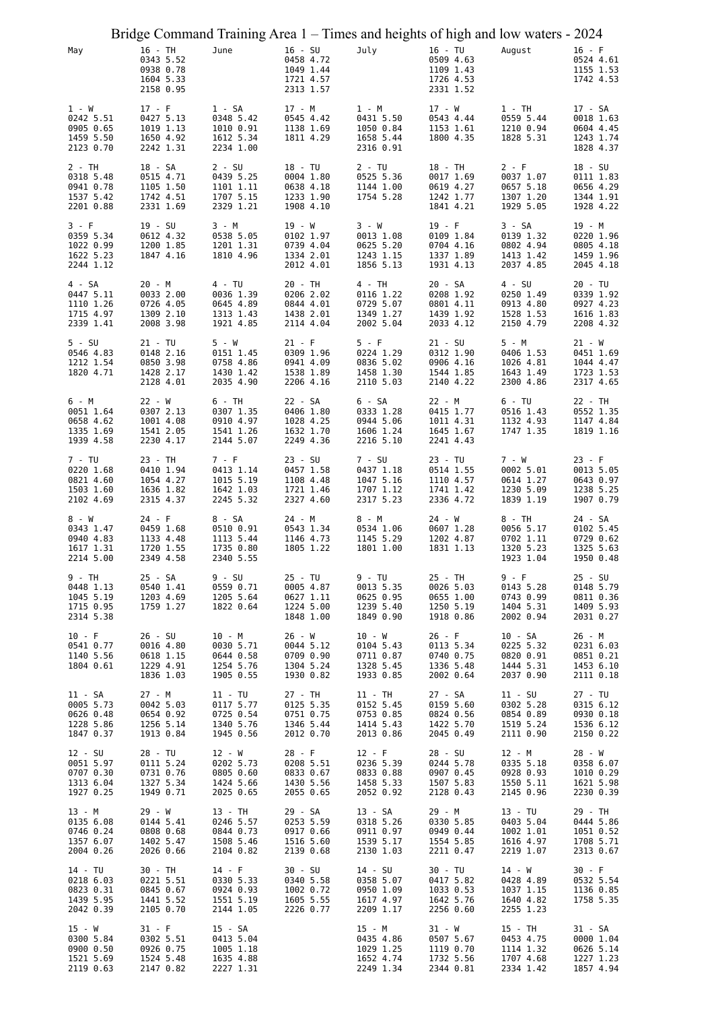|                                                              |                                                               | Bridge Command Training Area 1 – Times and heights of high and low waters - 2024 |                                                               |                                                               |           |                                                  |                                                               |                                                               |                                     |
|--------------------------------------------------------------|---------------------------------------------------------------|----------------------------------------------------------------------------------|---------------------------------------------------------------|---------------------------------------------------------------|-----------|--------------------------------------------------|---------------------------------------------------------------|---------------------------------------------------------------|-------------------------------------|
| May                                                          | 16 - TH<br>0343 5.52<br>0938 0.78<br>1604 5.33<br>2158 0.95   | June                                                                             | $16 - SU$<br>0458 4.72<br>1049 1.44<br>1721 4.57<br>2313 1.57 | July                                                          | 16 - TU   | 0509 4.63<br>1109 1.43<br>1726 4.53<br>2331 1.52 | August                                                        | $16 - F$<br>0524 4.61                                         | 1155 1.53<br>1742 4.53              |
| 1 - W<br>0242 5.51<br>0905 0.65<br>1459 5.50<br>2123 0.70    | $17 - F$<br>0427 5.13<br>1019 1.13<br>1650 4.92<br>2242 1.31  | $1 - SA$<br>0348 5.42<br>1010 0.91<br>1612 5.34<br>2234 1.00                     | 17 - M<br>0545 4.42<br>1138 1.69<br>1811 4.29                 | 1 - M<br>0431 5.50<br>1050 0.84<br>1658 5.44<br>2316 0.91     | 17 - W    | 0543 4.44<br>1153 1.61<br>1800 4.35              | $1 - TH$<br>0559 5.44<br>1210 0.94<br>1828 5.31               | 17 - SA<br>0018 1.63<br>0604 4.45<br>1243 1.74<br>1828 4.37   |                                     |
| 2 - TH<br>0318 5.48<br>0941 0.78<br>1537 5.42<br>2201 0.88   | 18 - SA<br>0515 4.71<br>1105 1.50<br>1742 4.51<br>2331 1.69   | $2 - SU$<br>0439 5.25<br>1101 1.11<br>1707 5.15<br>2329 1.21                     | 18 - TU<br>0004 1.80<br>0638 4.18<br>1233 1.90<br>1908 4.10   | $2 - TU$<br>0525 5.36<br>1144 1.00<br>1754 5.28               | 18 - TH   | 0017 1.69<br>0619 4.27<br>1242 1.77<br>1841 4.21 | $2 - F$<br>0037 1.07<br>0657 5.18<br>1307 1.20<br>1929 5.05   | 18 - SU<br>0111 1.83<br>0656 4.29<br>1344 1.91                | 1928 4.22                           |
| 3 - F<br>0359 5.34<br>1022 0.99<br>1622 5.23<br>2244 1.12    | $19 - SU$<br>0612 4.32<br>1200 1.85<br>1847 4.16              | 3 - M<br>0538 5.05<br>1201 1.31<br>1810 4.96                                     | 19 - W<br>0102 1.97<br>0739 4.04<br>1334 2.01<br>2012 4.01    | 3 - W<br>0013 1.08<br>0625 5.20<br>1243 1.15<br>1856 5.13     | $19 - F$  | 0109 1.84<br>0704 4.16<br>1337 1.89<br>1931 4.13 | $3 - SA$<br>0139 1.32<br>0802 4.94<br>1413 1.42<br>2037 4.85  | 19 - M<br>0220 1.96<br>0805 4.18<br>1459 1.96                 | 2045 4.18                           |
| 4 - SA<br>0447 5.11<br>1110 1.26<br>1715 4.97<br>2339 1.41   | 20 - M<br>0033 2.00<br>0726 4.05<br>1309 2.10<br>2008 3.98    | 4 - TU<br>0036 1.39<br>0645 4.89<br>1313 1.43<br>1921 4.85                       | 20 - TH<br>0206 2.02<br>0844 4.01<br>1438 2.01<br>2114 4.04   | 4 - TH<br>0116 1.22<br>0729 5.07<br>1349 1.27<br>2002 5.04    | 20 - SA   | 0208 1.92<br>0801 4.11<br>1439 1.92<br>2033 4.12 | 4 - SU<br>0250 1.49<br>0913 4.80<br>1528 1.53<br>2150 4.79    | $20 - TU$<br>0339 1.92<br>0927 4.23<br>1616 1.83<br>2208 4.32 |                                     |
| $5 - SU$<br>0546 4.83<br>1212 1.54<br>1820 4.71              | $21 - TU$<br>0148 2.16<br>0850 3.98<br>1428 2.17<br>2128 4.01 | 5 - W<br>0151 1.45<br>0758 4.86<br>1430 1.42<br>2035 4.90                        | $21 - F$<br>0309 1.96<br>0941 4.09<br>1538 1.89<br>2206 4.16  | $5 - F$<br>0224 1.29<br>0836 5.02<br>1458 1.30<br>2110 5.03   | $21 - SU$ | 0312 1.90<br>0906 4.16<br>1544 1.85<br>2140 4.22 | 5 - M<br>0406 1.53<br>1026 4.81<br>1643 1.49<br>2300 4.86     | $21 - W$<br>0451 1.69<br>1044 4.47<br>2317 4.65               | 1723 1.53                           |
| 6 - M<br>0051 1.64<br>0658 4.62<br>1335 1.69<br>1939 4.58    | 22 - W<br>0307 2.13<br>1001 4.08<br>1541 2.05<br>2230 4.17    | 6 - TH<br>0307 1.35<br>0910 4.97<br>1541 1.26<br>2144 5.07                       | 22 - SA<br>0406 1.80<br>1028 4.25<br>1632 1.70<br>2249 4.36   | 6 - SA<br>0333 1.28<br>0944 5.06<br>1606 1.24<br>2216 5.10    | 22 - M    | 0415 1.77<br>1011 4.31<br>1645 1.67<br>2241 4.43 | $6 - TU$<br>0516 1.43<br>1132 4.93<br>1747 1.35               | 22 - TH<br>0552 1.35<br>1147 4.84<br>1819 1.16                |                                     |
| 7 - TU<br>0220 1.68<br>0821 4.60<br>1503 1.60<br>2102 4.69   | 23 - TH<br>0410 1.94<br>1054 4.27<br>1636 1.82<br>2315 4.37   | 7 - F<br>0413 1.14<br>1015 5.19<br>1642 1.03<br>2245 5.32                        | 23 - SU<br>0457 1.58<br>1108 4.48<br>1721 1.46<br>2327 4.60   | 7 - SU<br>0437 1.18<br>1047 5.16<br>1707 1.12<br>2317 5.23    | 23 - TU   | 0514 1.55<br>1110 4.57<br>1741 1.42<br>2336 4.72 | 7 - W<br>0002 5.01<br>0614 1.27<br>1230 5.09<br>1839 1.19     | $23 - F$<br>0013 5.05<br>1907 0.79                            | 0643 0.97<br>1238 5.25              |
| 8 - W<br>0343 1.47<br>0940 4.83<br>1617 1.31<br>2214 5.00    | $24 - F$<br>0459 1.68<br>1133 4.48<br>1720 1.55<br>2349 4.58  | 8 - SA<br>0510 0.91<br>1113 5.44<br>1735 0.80<br>2340 5.55                       | 24 - M<br>0543 1.34<br>1146 4.73<br>1805 1.22                 | 8 - M<br>0534 1.06<br>1145 5.29<br>1801 1.00                  | $24 - W$  | 0607 1.28<br>1202 4.87<br>1831 1.13              | 8 - TH<br>0056 5.17<br>0702 1.11<br>1320 5.23<br>1923 1.04    | 24 - SA<br>0102 5.45<br>0729 0.62<br>1325 5.63<br>1950 0.48   |                                     |
| 9 - TH<br>0448 1.13<br>1045 5.19<br>1715 0.95<br>2314 5.38   | 25 - SA<br>0540 1.41<br>1203 4.69<br>1759 1.27                | 9 - SU<br>0559 0.71<br>1205 5.64<br>1822 0.64                                    | $25 - TU$<br>0005 4.87<br>0627 1.11<br>1224 5.00<br>1848 1.00 | 9 - TU<br>0013 5.35<br>0625 0.95<br>1239 5.40<br>1849 0.90    | 25 - TH   | 0026 5.03<br>0655 1.00<br>1250 5.19<br>1918 0.86 | $9 - F$<br>0143 5.28<br>0743 0.99<br>1404 5.31<br>2002 0.94   | 25 - SU<br>0148 5.79<br>0811 0.36<br>1409 5.93<br>2031 0.27   |                                     |
| $10 - F$<br>0541 0.77<br>1140 5.56<br>1804 0.61              | 26 - SU<br>0016 4.80<br>0618 1.15<br>1229 4.91<br>1836 1.03   | 10 - M<br>0030 5.71<br>0644 0.58<br>1254 5.76<br>1905 0.55                       | 26 - W<br>0044 5.12<br>0709 0.90<br>1304 5.24<br>1930 0.82    | $10 - W$<br>0104 5.43<br>0711 0.87<br>1328 5.45<br>1933 0.85  | $26 - F$  | 0113 5.34<br>0740 0.75<br>1336 5.48<br>2002 0.64 | 10 - SA<br>0225 5.32<br>0820 0.91<br>1444 5.31<br>2037 0.90   | 26 - M<br>0231 6.03<br>0851 0.21<br>1453 6.10<br>2111 0.18    |                                     |
| 11 - SA<br>0005 5.73<br>0626 0.48<br>1228 5.86<br>1847 0.37  | 27 - M<br>0042 5.03<br>0654 0.92<br>1256 5.14<br>1913 0.84    | $11 - TU$<br>0117 5.77<br>0725 0.54<br>1340 5.76<br>1945 0.56                    | 27 - TH<br>0125 5.35<br>0751 0.75<br>1346 5.44<br>2012 0.70   | $11 - TH$<br>0152 5.45<br>0753 0.85<br>1414 5.43<br>2013 0.86 | 27 - SA   | 0159 5.60<br>0824 0.56<br>1422 5.70<br>2045 0.49 | $11 - SU$<br>0302 5.28<br>0854 0.89<br>1519 5.24<br>2111 0.90 | 27 - TU<br>0315 6.12<br>0930 0.18                             | 1536 6.12<br>2150 0.22              |
| 12 - SU<br>0051 5.97<br>0707 0.30<br>1313 6.04<br>1927 0.25  | 28 - TU<br>0111 5.24<br>0731 0.76<br>1327 5.34<br>1949 0.71   | 12 - W<br>0202 5.73<br>0805 0.60<br>1424 5.66<br>2025 0.65                       | $28 - F$<br>0208 5.51<br>0833 0.67<br>1430 5.56<br>2055 0.65  | $12 - F$<br>0236 5.39<br>0833 0.88<br>1458 5.33<br>2052 0.92  | 28 - SU   | 0244 5.78<br>0907 0.45<br>1507 5.83<br>2128 0.43 | 12 - M<br>0335 5.18<br>0928 0.93<br>1550 5.11<br>2145 0.96    | 28 - W<br>0358 6.07<br>2230 0.39                              | 1010 0.29<br>1621 5.98              |
| 13 - M<br>0135 6.08<br>0746 0.24<br>1357 6.07<br>2004 0.26   | 29 - W<br>0144 5.41<br>0808 0.68<br>1402 5.47<br>2026 0.66    | 13 - TH<br>0246 5.57<br>0844 0.73<br>1508 5.46<br>2104 0.82                      | 29 - SA<br>0253 5.59<br>0917 0.66<br>1516 5.60<br>2139 0.68   | 13 - SA<br>0318 5.26<br>0911 0.97<br>1539 5.17<br>2130 1.03   | 29 - M    | 0330 5.85<br>0949 0.44<br>1554 5.85<br>2211 0.47 | $13 - TU$<br>0403 5.04<br>1002 1.01<br>1616 4.97<br>2219 1.07 | 29 - TH<br>0444 5.86<br>1051 0.52<br>1708 5.71<br>2313 0.67   |                                     |
| 14 - TU<br>0218 6.03<br>0823 0.31<br>1439 5.95<br>2042 0.39  | 30 - TH<br>0221 5.51<br>0845 0.67<br>1441 5.52<br>2105 0.70   | 14 - F<br>0330 5.33<br>0924 0.93<br>1551 5.19<br>2144 1.05                       | 30 - SU<br>0340 5.58<br>1002 0.72<br>1605 5.55<br>2226 0.77   | 14 - SU<br>0358 5.07<br>0950 1.09<br>1617 4.97<br>2209 1.17   | 30 - TU   | 0417 5.82<br>1033 0.53<br>1642 5.76<br>2256 0.60 | 14 - W<br>0428 4.89<br>1037 1.15<br>1640 4.82<br>2255 1.23    | $30 - F$<br>1758 5.35                                         | 0532 5.54<br>1136 0.85              |
| $15 - W$<br>0300 5.84<br>0900 0.50<br>1521 5.69<br>2119 0.63 | 31 - F<br>0302 5.51<br>0926 0.75<br>1524 5.48<br>2147 0.82    | 15 - SA<br>0413 5.04<br>1005 1.18<br>1635 4.88<br>2227 1.31                      |                                                               | 15 - M<br>0435 4.86<br>1029 1.25<br>1652 4.74<br>2249 1.34    | 31 - W    | 0507 5.67<br>1119 0.70<br>1732 5.56<br>2344 0.81 | 15 - TH<br>0453 4.75<br>1114 1.32<br>1707 4.68<br>2334 1.42   | 31 - SA<br>1227 1.23                                          | 0000 1.04<br>0626 5.14<br>1857 4.94 |